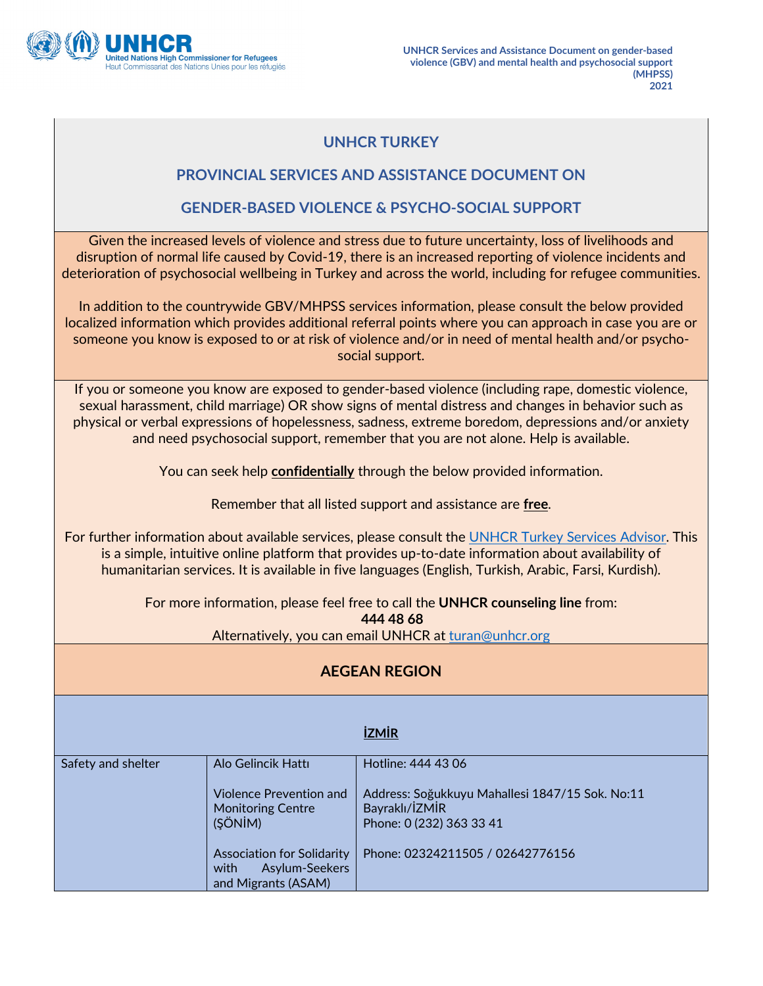

## **UNHCR TURKEY**

## **PROVINCIAL SERVICES AND ASSISTANCE DOCUMENT ON**

## **GENDER-BASED VIOLENCE & PSYCHO-SOCIAL SUPPORT**

Given the increased levels of violence and stress due to future uncertainty, loss of livelihoods and disruption of normal life caused by Covid-19, there is an increased reporting of violence incidents and deterioration of psychosocial wellbeing in Turkey and across the world, including for refugee communities.

In addition to the countrywide GBV/MHPSS services information, please consult the below provided localized information which provides additional referral points where you can approach in case you are or someone you know is exposed to or at risk of violence and/or in need of mental health and/or psychosocial support.

If you or someone you know are exposed to gender-based violence (including rape, domestic violence, sexual harassment, child marriage) OR show signs of mental distress and changes in behavior such as physical or verbal expressions of hopelessness, sadness, extreme boredom, depressions and/or anxiety and need psychosocial support, remember that you are not alone. Help is available.

You can seek help **confidentially** through the below provided information.

Remember that all listed support and assistance are **free**.

For further information about available services, please consult the UNHCR Turkey Services Advisor. This is a simple, intuitive online platform that provides up-to-date information about availability of humanitarian services. It is available in five languages (English, Turkish, Arabic, Farsi, Kurdish).

> For more information, please feel free to call the **UNHCR counseling line** from: **444 48 68** Alternatively, you can email UNHCR at [turan@unhcr.org](mailto:turan@unhcr.org)

## **AEGEAN REGION**

|                    |                                                                           | <b>İZMİR</b>                                                                            |
|--------------------|---------------------------------------------------------------------------|-----------------------------------------------------------------------------------------|
| Safety and shelter | Alo Gelincik Hattı<br>Violence Prevention and<br><b>Monitoring Centre</b> | Hotline: 444 43 06<br>Address: Soğukkuyu Mahallesi 1847/15 Sok. No:11<br>Bayraklı/İZMİR |
|                    | (SÖNİM)<br><b>Association for Solidarity</b>                              | Phone: 0 (232) 363 33 41<br>Phone: 02324211505 / 02642776156                            |
|                    | Asylum-Seekers<br>with<br>and Migrants (ASAM)                             |                                                                                         |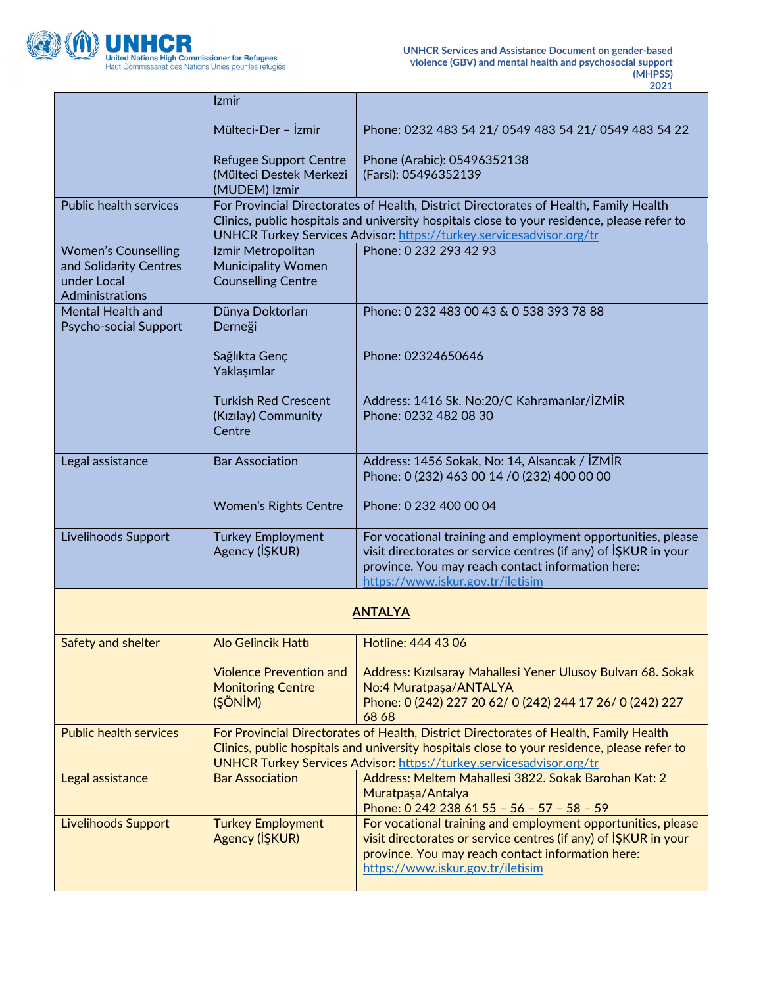

F

T

 $\overline{\phantom{a}}$ 

|                                                                                        | Izmir                                                                                                                                                                                                                                                        |                                                                                                                                                                                                                           |
|----------------------------------------------------------------------------------------|--------------------------------------------------------------------------------------------------------------------------------------------------------------------------------------------------------------------------------------------------------------|---------------------------------------------------------------------------------------------------------------------------------------------------------------------------------------------------------------------------|
|                                                                                        | Mülteci-Der - İzmir                                                                                                                                                                                                                                          | Phone: 0232 483 54 21/ 0549 483 54 21/ 0549 483 54 22                                                                                                                                                                     |
|                                                                                        | <b>Refugee Support Centre</b><br>(Mülteci Destek Merkezi<br>(MUDEM) Izmir                                                                                                                                                                                    | Phone (Arabic): 05496352138<br>(Farsi): 05496352139                                                                                                                                                                       |
| <b>Public health services</b>                                                          | For Provincial Directorates of Health, District Directorates of Health, Family Health<br>Clinics, public hospitals and university hospitals close to your residence, please refer to<br>UNHCR Turkey Services Advisor: https://turkey.servicesadvisor.org/tr |                                                                                                                                                                                                                           |
| <b>Women's Counselling</b><br>and Solidarity Centres<br>under Local<br>Administrations | Izmir Metropolitan<br><b>Municipality Women</b><br><b>Counselling Centre</b>                                                                                                                                                                                 | Phone: 0 232 293 42 93                                                                                                                                                                                                    |
| Mental Health and<br>Psycho-social Support                                             | Dünya Doktorları<br>Derneği                                                                                                                                                                                                                                  | Phone: 0 232 483 00 43 & 0 538 393 78 88                                                                                                                                                                                  |
|                                                                                        | Sağlıkta Genç<br>Yaklaşımlar                                                                                                                                                                                                                                 | Phone: 02324650646                                                                                                                                                                                                        |
|                                                                                        | <b>Turkish Red Crescent</b><br>(Kızılay) Community<br>Centre                                                                                                                                                                                                 | Address: 1416 Sk. No:20/C Kahramanlar/İZMİR<br>Phone: 0232 482 08 30                                                                                                                                                      |
| Legal assistance                                                                       | <b>Bar Association</b>                                                                                                                                                                                                                                       | Address: 1456 Sokak, No: 14, Alsancak / İZMİR<br>Phone: 0 (232) 463 00 14 / 0 (232) 400 00 00                                                                                                                             |
|                                                                                        | <b>Women's Rights Centre</b>                                                                                                                                                                                                                                 | Phone: 0 232 400 00 04                                                                                                                                                                                                    |
| Livelihoods Support                                                                    | <b>Turkey Employment</b><br>Agency (IŞKUR)                                                                                                                                                                                                                   | For vocational training and employment opportunities, please<br>visit directorates or service centres (if any) of IŞKUR in your<br>province. You may reach contact information here:                                      |
|                                                                                        |                                                                                                                                                                                                                                                              | https://www.iskur.gov.tr/iletisim                                                                                                                                                                                         |
|                                                                                        |                                                                                                                                                                                                                                                              | <b>ANTALYA</b>                                                                                                                                                                                                            |
| Safety and shelter                                                                     | <b>Alo Gelincik Hattı</b>                                                                                                                                                                                                                                    | Hotline: 444 43 06                                                                                                                                                                                                        |
|                                                                                        | <b>Violence Prevention and</b><br><b>Monitoring Centre</b><br>(ŞÖNİM)                                                                                                                                                                                        | Address: Kızılsaray Mahallesi Yener Ulusoy Bulvarı 68. Sokak<br>No:4 Muratpaşa/ANTALYA<br>Phone: 0 (242) 227 20 62/ 0 (242) 244 17 26/ 0 (242) 227<br>68 68                                                               |
| <b>Public health services</b>                                                          | For Provincial Directorates of Health, District Directorates of Health, Family Health<br>Clinics, public hospitals and university hospitals close to your residence, please refer to<br>UNHCR Turkey Services Advisor: https://turkey.servicesadvisor.org/tr |                                                                                                                                                                                                                           |
| Legal assistance                                                                       | <b>Bar Association</b>                                                                                                                                                                                                                                       | Address: Meltem Mahallesi 3822. Sokak Barohan Kat: 2<br>Muratpaşa/Antalya<br>Phone: 0 242 238 61 55 - 56 - 57 - 58 - 59                                                                                                   |
| <b>Livelihoods Support</b>                                                             | <b>Turkey Employment</b><br>Agency (IŞKUR)                                                                                                                                                                                                                   | For vocational training and employment opportunities, please<br>visit directorates or service centres (if any) of ISKUR in your<br>province. You may reach contact information here:<br>https://www.iskur.gov.tr/iletisim |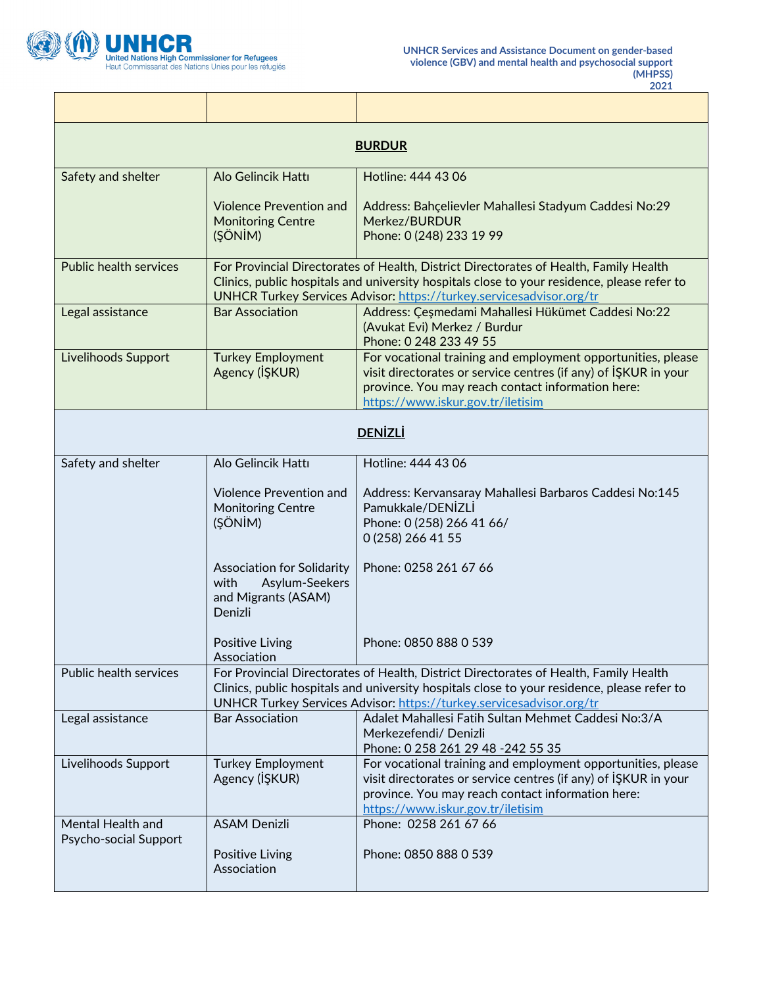

٦

| <b>BURDUR</b>                              |                                                                                                                                                                                                                                                              |                                                                                                                                                                                                                           |
|--------------------------------------------|--------------------------------------------------------------------------------------------------------------------------------------------------------------------------------------------------------------------------------------------------------------|---------------------------------------------------------------------------------------------------------------------------------------------------------------------------------------------------------------------------|
| Safety and shelter                         | Alo Gelincik Hattı                                                                                                                                                                                                                                           | Hotline: 444 43 06                                                                                                                                                                                                        |
|                                            | <b>Violence Prevention and</b><br><b>Monitoring Centre</b><br>(ŞÖNİM)                                                                                                                                                                                        | Address: Bahçelievler Mahallesi Stadyum Caddesi No:29<br>Merkez/BURDUR<br>Phone: 0 (248) 233 19 99                                                                                                                        |
| <b>Public health services</b>              | For Provincial Directorates of Health, District Directorates of Health, Family Health<br>Clinics, public hospitals and university hospitals close to your residence, please refer to<br>UNHCR Turkey Services Advisor: https://turkey.servicesadvisor.org/tr |                                                                                                                                                                                                                           |
| Legal assistance                           | <b>Bar Association</b>                                                                                                                                                                                                                                       | Address: Çeşmedami Mahallesi Hükümet Caddesi No:22<br>(Avukat Evi) Merkez / Burdur<br>Phone: 0 248 233 49 55                                                                                                              |
| Livelihoods Support                        | <b>Turkey Employment</b><br>Agency (IŞKUR)                                                                                                                                                                                                                   | For vocational training and employment opportunities, please<br>visit directorates or service centres (if any) of ISKUR in your<br>province. You may reach contact information here:<br>https://www.iskur.gov.tr/iletisim |
| <b>DENİZLİ</b>                             |                                                                                                                                                                                                                                                              |                                                                                                                                                                                                                           |
| Safety and shelter                         | Alo Gelincik Hattı                                                                                                                                                                                                                                           | Hotline: 444 43 06                                                                                                                                                                                                        |
|                                            | <b>Violence Prevention and</b><br><b>Monitoring Centre</b><br>(ŞÖNİM)                                                                                                                                                                                        | Address: Kervansaray Mahallesi Barbaros Caddesi No:145<br>Pamukkale/DENIZLI<br>Phone: 0 (258) 266 41 66/<br>0 (258) 266 41 55                                                                                             |
|                                            | <b>Association for Solidarity</b><br>with<br>Asylum-Seekers<br>and Migrants (ASAM)<br>Denizli                                                                                                                                                                | Phone: 0258 261 67 66                                                                                                                                                                                                     |
|                                            | Positive Living<br>Association                                                                                                                                                                                                                               | Phone: 0850 888 0 539                                                                                                                                                                                                     |
| Public health services                     | For Provincial Directorates of Health, District Directorates of Health, Family Health<br>Clinics, public hospitals and university hospitals close to your residence, please refer to<br>UNHCR Turkey Services Advisor: https://turkey.servicesadvisor.org/tr |                                                                                                                                                                                                                           |
| Legal assistance                           | <b>Bar Association</b>                                                                                                                                                                                                                                       | Adalet Mahallesi Fatih Sultan Mehmet Caddesi No:3/A<br>Merkezefendi/ Denizli<br>Phone: 0 258 261 29 48 -242 55 35                                                                                                         |
| Livelihoods Support                        | <b>Turkey Employment</b><br>Agency (IŞKUR)                                                                                                                                                                                                                   | For vocational training and employment opportunities, please<br>visit directorates or service centres (if any) of IŞKUR in your<br>province. You may reach contact information here:<br>https://www.iskur.gov.tr/iletisim |
| Mental Health and<br>Psycho-social Support | <b>ASAM Denizli</b><br>Positive Living<br>Association                                                                                                                                                                                                        | Phone: 0258 261 67 66<br>Phone: 0850 888 0 539                                                                                                                                                                            |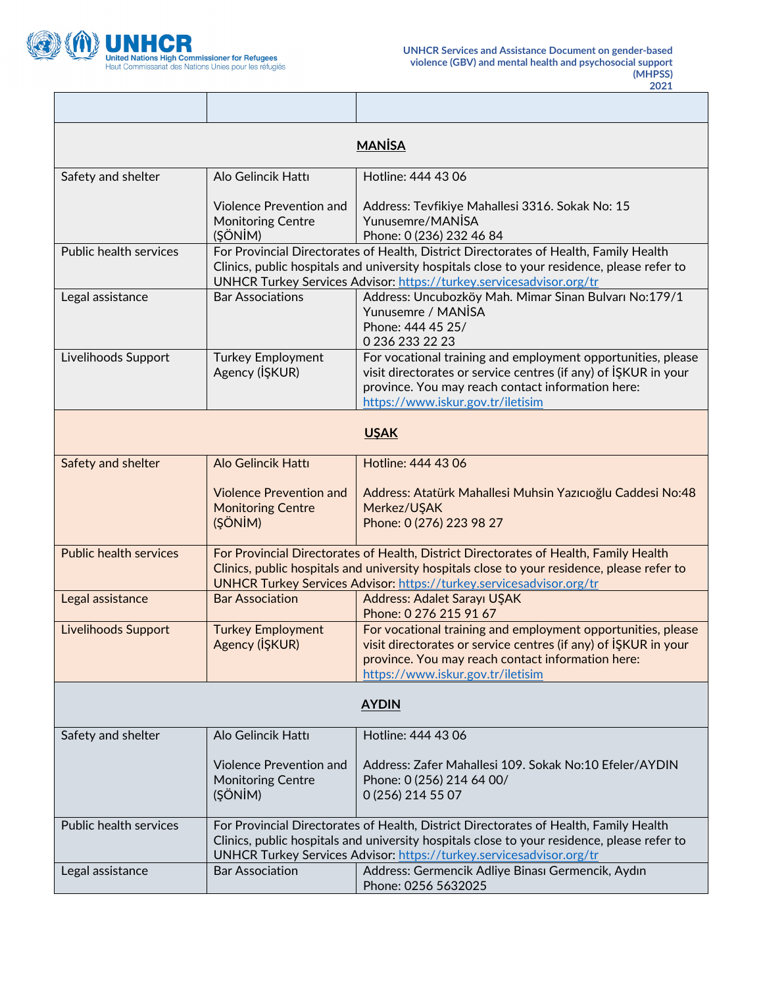

٦Ī,

| <b>MANISA</b>                 |                                                                                                                                                                                                                                                              |                                                                                                                                                                                                                           |
|-------------------------------|--------------------------------------------------------------------------------------------------------------------------------------------------------------------------------------------------------------------------------------------------------------|---------------------------------------------------------------------------------------------------------------------------------------------------------------------------------------------------------------------------|
| Safety and shelter            | Alo Gelincik Hattı                                                                                                                                                                                                                                           | Hotline: 444 43 06                                                                                                                                                                                                        |
|                               | <b>Violence Prevention and</b><br><b>Monitoring Centre</b><br>(ŞÖNİM)                                                                                                                                                                                        | Address: Tevfikiye Mahallesi 3316. Sokak No: 15<br>Yunusemre/MANISA<br>Phone: 0 (236) 232 46 84                                                                                                                           |
| Public health services        | For Provincial Directorates of Health, District Directorates of Health, Family Health<br>Clinics, public hospitals and university hospitals close to your residence, please refer to<br>UNHCR Turkey Services Advisor: https://turkey.servicesadvisor.org/tr |                                                                                                                                                                                                                           |
| Legal assistance              | <b>Bar Associations</b>                                                                                                                                                                                                                                      | Address: Uncubozköy Mah. Mimar Sinan Bulvarı No:179/1<br>Yunusemre / MANISA<br>Phone: 444 45 25/<br>0 236 233 22 23                                                                                                       |
| Livelihoods Support           | <b>Turkey Employment</b><br>Agency (IŞKUR)                                                                                                                                                                                                                   | For vocational training and employment opportunities, please<br>visit directorates or service centres (if any) of ISKUR in your<br>province. You may reach contact information here:<br>https://www.iskur.gov.tr/iletisim |
| <b>USAK</b>                   |                                                                                                                                                                                                                                                              |                                                                                                                                                                                                                           |
| Safety and shelter            | <b>Alo Gelincik Hattı</b>                                                                                                                                                                                                                                    | Hotline: 444 43 06                                                                                                                                                                                                        |
|                               | <b>Violence Prevention and</b><br><b>Monitoring Centre</b><br>(ŞÖNİM)                                                                                                                                                                                        | Address: Atatürk Mahallesi Muhsin Yazıcıoğlu Caddesi No:48<br>Merkez/UŞAK<br>Phone: 0 (276) 223 98 27                                                                                                                     |
| <b>Public health services</b> | For Provincial Directorates of Health, District Directorates of Health, Family Health<br>Clinics, public hospitals and university hospitals close to your residence, please refer to<br>UNHCR Turkey Services Advisor: https://turkey.servicesadvisor.org/tr |                                                                                                                                                                                                                           |
| Legal assistance              | <b>Bar Association</b>                                                                                                                                                                                                                                       | Address: Adalet Sarayı UŞAK<br>Phone: 0 276 215 91 67                                                                                                                                                                     |
| <b>Livelihoods Support</b>    | <b>Turkey Employment</b><br>Agency (IŞKUR)                                                                                                                                                                                                                   | For vocational training and employment opportunities, please<br>visit directorates or service centres (if any) of ISKUR in your<br>province. You may reach contact information here:<br>https://www.iskur.gov.tr/iletisim |
| <b>AYDIN</b>                  |                                                                                                                                                                                                                                                              |                                                                                                                                                                                                                           |
| Safety and shelter            | Alo Gelincik Hattı                                                                                                                                                                                                                                           | Hotline: 444 43 06                                                                                                                                                                                                        |
|                               | <b>Violence Prevention and</b><br><b>Monitoring Centre</b><br>(ŞÖNİM)                                                                                                                                                                                        | Address: Zafer Mahallesi 109. Sokak No:10 Efeler/AYDIN<br>Phone: 0 (256) 214 64 00/<br>0 (256) 214 55 07                                                                                                                  |
| Public health services        | For Provincial Directorates of Health, District Directorates of Health, Family Health<br>Clinics, public hospitals and university hospitals close to your residence, please refer to<br>UNHCR Turkey Services Advisor: https://turkey.servicesadvisor.org/tr |                                                                                                                                                                                                                           |
| Legal assistance              | <b>Bar Association</b>                                                                                                                                                                                                                                       | Address: Germencik Adliye Binası Germencik, Aydın<br>Phone: 0256 5632025                                                                                                                                                  |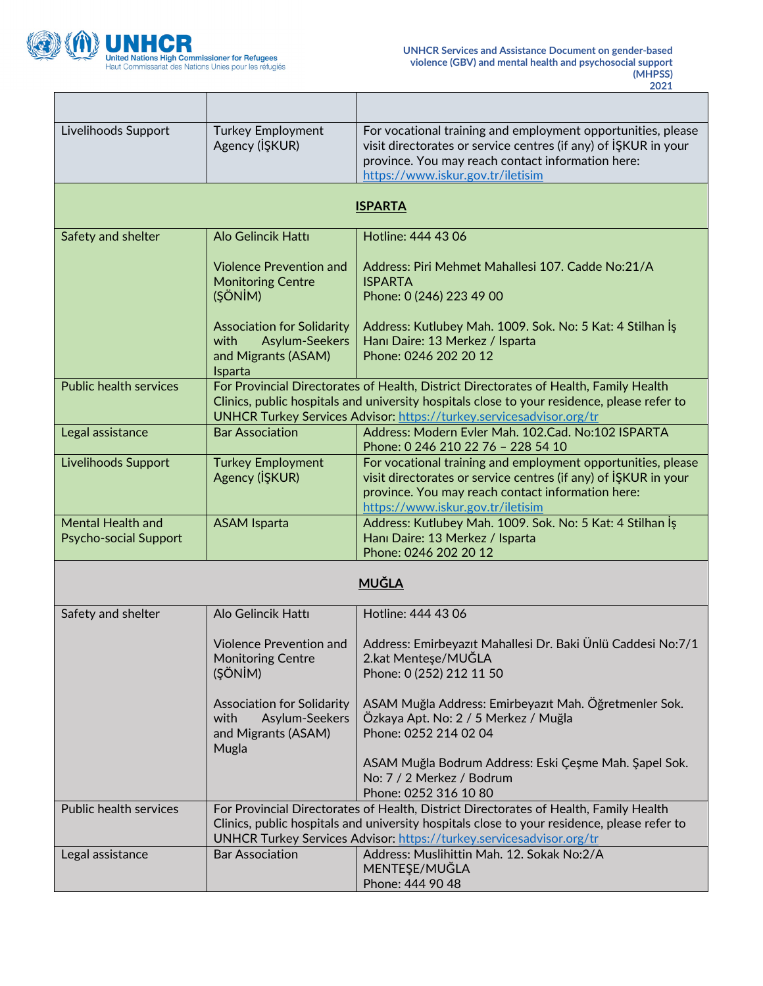

٦

| Livelihoods Support                                      | <b>Turkey Employment</b><br>Agency (IŞKUR)                                                                                                                                                                                                                   | For vocational training and employment opportunities, please<br>visit directorates or service centres (if any) of IŞKUR in your<br>province. You may reach contact information here:<br>https://www.iskur.gov.tr/iletisim                                    |
|----------------------------------------------------------|--------------------------------------------------------------------------------------------------------------------------------------------------------------------------------------------------------------------------------------------------------------|--------------------------------------------------------------------------------------------------------------------------------------------------------------------------------------------------------------------------------------------------------------|
| <b>ISPARTA</b>                                           |                                                                                                                                                                                                                                                              |                                                                                                                                                                                                                                                              |
| Safety and shelter                                       | Alo Gelincik Hattı                                                                                                                                                                                                                                           | Hotline: 444 43 06                                                                                                                                                                                                                                           |
|                                                          | <b>Violence Prevention and</b><br><b>Monitoring Centre</b><br>(ŞÖNİM)                                                                                                                                                                                        | Address: Piri Mehmet Mahallesi 107. Cadde No:21/A<br><b>ISPARTA</b><br>Phone: 0 (246) 223 49 00                                                                                                                                                              |
|                                                          | <b>Association for Solidarity</b><br><b>Asylum-Seekers</b><br>with<br>and Migrants (ASAM)<br>Isparta                                                                                                                                                         | Address: Kutlubey Mah. 1009. Sok. No: 5 Kat: 4 Stilhan Is<br>Hanı Daire: 13 Merkez / Isparta<br>Phone: 0246 202 20 12                                                                                                                                        |
| <b>Public health services</b>                            |                                                                                                                                                                                                                                                              | For Provincial Directorates of Health, District Directorates of Health, Family Health<br>Clinics, public hospitals and university hospitals close to your residence, please refer to<br>UNHCR Turkey Services Advisor: https://turkey.servicesadvisor.org/tr |
| Legal assistance                                         | <b>Bar Association</b>                                                                                                                                                                                                                                       | Address: Modern Eyler Mah. 102.Cad. No:102 ISPARTA<br>Phone: 0 246 210 22 76 - 228 54 10                                                                                                                                                                     |
| Livelihoods Support                                      | <b>Turkey Employment</b><br>Agency (IŞKUR)                                                                                                                                                                                                                   | For vocational training and employment opportunities, please<br>visit directorates or service centres (if any) of ISKUR in your<br>province. You may reach contact information here:<br>https://www.iskur.gov.tr/iletisim                                    |
| <b>Mental Health and</b><br><b>Psycho-social Support</b> | <b>ASAM Isparta</b>                                                                                                                                                                                                                                          | Address: Kutlubey Mah. 1009. Sok. No: 5 Kat: 4 Stilhan İş<br>Hanı Daire: 13 Merkez / Isparta<br>Phone: 0246 202 20 12                                                                                                                                        |
|                                                          |                                                                                                                                                                                                                                                              | <u>MUĞLA</u>                                                                                                                                                                                                                                                 |
| Safety and shelter                                       | Alo Gelincik Hattı                                                                                                                                                                                                                                           | Hotline: 444 43 06                                                                                                                                                                                                                                           |
|                                                          | <b>Violence Prevention and</b><br><b>Monitoring Centre</b><br>(ŞÖNİM)                                                                                                                                                                                        | Address: Emirbeyazıt Mahallesi Dr. Baki Ünlü Caddesi No:7/1<br>2.kat Menteşe/MUĞLA<br>Phone: 0 (252) 212 11 50                                                                                                                                               |
|                                                          | <b>Association for Solidarity</b><br>Asylum-Seekers<br>with<br>and Migrants (ASAM)<br>Mugla                                                                                                                                                                  | ASAM Muğla Address: Emirbeyazıt Mah. Öğretmenler Sok.<br>Özkaya Apt. No: 2 / 5 Merkez / Muğla<br>Phone: 0252 214 02 04<br>ASAM Muğla Bodrum Address: Eski Çeşme Mah. Şapel Sok.<br>No: 7 / 2 Merkez / Bodrum                                                 |
|                                                          |                                                                                                                                                                                                                                                              | Phone: 0252 316 10 80                                                                                                                                                                                                                                        |
| <b>Public health services</b>                            | For Provincial Directorates of Health, District Directorates of Health, Family Health<br>Clinics, public hospitals and university hospitals close to your residence, please refer to<br>UNHCR Turkey Services Advisor: https://turkey.servicesadvisor.org/tr |                                                                                                                                                                                                                                                              |
| Legal assistance                                         | <b>Bar Association</b>                                                                                                                                                                                                                                       | Address: Muslihittin Mah. 12. Sokak No:2/A<br>MENTEŞE/MUĞLA<br>Phone: 444 90 48                                                                                                                                                                              |